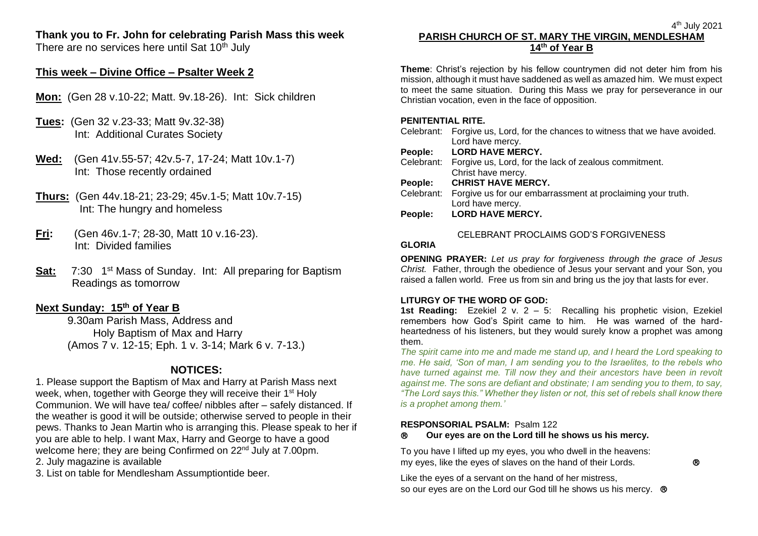# **Thank you to Fr. John for celebrating Parish Mass this week**

There are no services here until Sat  $10<sup>th</sup>$  July

## **This week – Divine Office – Psalter Week 2**

- **Mon:** (Gen 28 v.10-22; Matt. 9v.18-26). Int: Sick children
- **Tues:** (Gen 32 v.23-33; Matt 9v.32-38) Int: Additional Curates Society
- **Wed:** (Gen 41v.55-57; 42v.5-7, 17-24; Matt 10v.1-7) Int: Those recently ordained
- **Thurs:** (Gen 44v.18-21; 23-29; 45v.1-5; Matt 10v.7-15) Int: The hungry and homeless
- **Fri:** (Gen 46v.1-7; 28-30, Matt 10 v.16-23). Int: Divided families
- **Sat:** 7:30 1<sup>st</sup> Mass of Sunday. Int: All preparing for Baptism Readings as tomorrow

## **Next Sunday: 15th of Year B**

9.30am Parish Mass, Address and Holy Baptism of Max and Harry (Amos 7 v. 12-15; Eph. 1 v. 3-14; Mark 6 v. 7-13.)

# **NOTICES:**

1. Please support the Baptism of Max and Harry at Parish Mass next week, when, together with George they will receive their 1st Holy Communion. We will have tea/ coffee/ nibbles after – safely distanced. If the weather is good it will be outside; otherwise served to people in their pews. Thanks to Jean Martin who is arranging this. Please speak to her if you are able to help. I want Max, Harry and George to have a good welcome here; they are being Confirmed on 22<sup>nd</sup> July at 7.00pm.

2. July magazine is available

3. List on table for Mendlesham Assumptiontide beer.

## 4 th July 2021 **PARISH CHURCH OF ST. MARY THE VIRGIN, MENDLESHAM 14th of Year B**

**Theme**: Christ's rejection by his fellow countrymen did not deter him from his mission, although it must have saddened as well as amazed him. We must expect to meet the same situation. During this Mass we pray for perseverance in our Christian vocation, even in the face of opposition.

### **PENITENTIAL RITE.**

|            | Celebrant: Forgive us, Lord, for the chances to witness that we have avoided. |
|------------|-------------------------------------------------------------------------------|
|            | Lord have mercy.                                                              |
| People:    | <b>LORD HAVE MERCY.</b>                                                       |
|            | Celebrant: Forgive us, Lord, for the lack of zealous commitment.              |
|            | Christ have mercy.                                                            |
|            |                                                                               |
| People:    | <b>CHRIST HAVE MERCY.</b>                                                     |
| Celebrant: | Forgive us for our embarrassment at proclaiming your truth.                   |
|            | Lord have mercy.                                                              |
| People:    | <b>LORD HAVE MERCY.</b>                                                       |
|            |                                                                               |

## CELEBRANT PROCLAIMS GOD'S FORGIVENESS

#### **GLORIA**

**OPENING PRAYER:** *Let us pray for forgiveness through the grace of Jesus Christ.* Father, through the obedience of Jesus your servant and your Son, you raised a fallen world. Free us from sin and bring us the joy that lasts for ever.

## **LITURGY OF THE WORD OF GOD:**

**1st Reading:**Ezekiel 2 v. 2 – 5: Recalling his prophetic vision, Ezekiel remembers how God's Spirit came to him. He was warned of the hardheartedness of his listeners, but they would surely know a prophet was among them.

*The spirit came into me and made me stand up, and I heard the Lord speaking to me. He said, 'Son of man, I am sending you to the Israelites, to the rebels who*  have turned against me. Till now they and their ancestors have been in revolt *against me. The sons are defiant and obstinate; I am sending you to them, to say, "The Lord says this." Whether they listen or not, this set of rebels shall know there is a prophet among them.'*

#### **RESPONSORIAL PSALM:** Psalm 122

## **Our eyes are on the Lord till he shows us his mercy.**

To you have I lifted up my eyes, you who dwell in the heavens: my eyes, like the eyes of slaves on the hand of their Lords.

Like the eyes of a servant on the hand of her mistress, so our eyes are on the Lord our God till he shows us his mercy.  $\circledR$